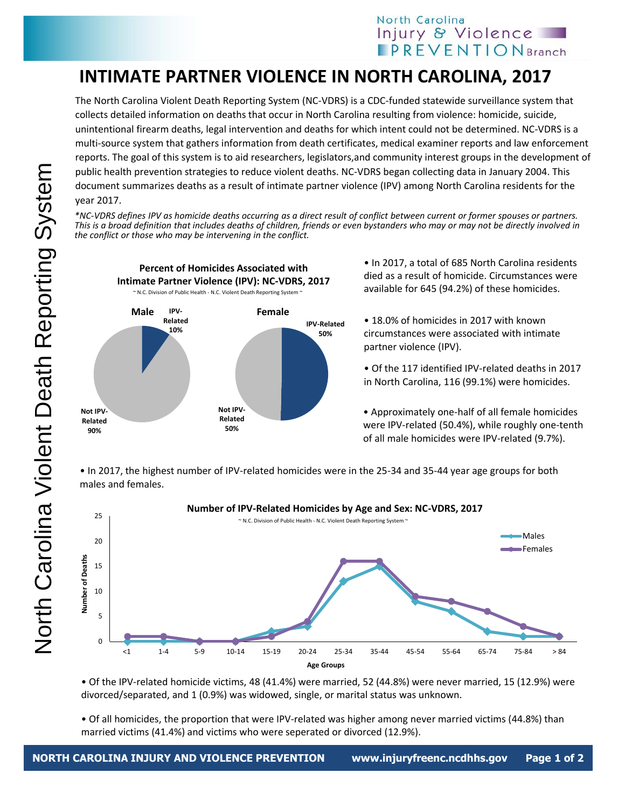## North Carolina Injury & Violence **IPREVENTIONBranch**

## **INTIMATE PARTNER VIOLENCE IN NORTH CAROLINA, 2017**

The North Carolina Violent Death Reporting System (NC-VDRS) is a CDC-funded statewide surveillance system that collects detailed information on deaths that occur in North Carolina resulting from violence: homicide, suicide, unintentional firearm deaths, legal intervention and deaths for which intent could not be determined. NC-VDRS is a multi-source system that gathers information from death certificates, medical examiner reports and law enforcement reports. The goal of this system is to aid researchers, legislators,and community interest groups in the development of public health prevention strategies to reduce violent deaths. NC-VDRS began collecting data in January 2004. This document summarizes deaths as a result of intimate partner violence (IPV) among North Carolina residents for the year 2017.

*\*NC-VDRS defines IPV as homicide deaths occurring as a direct result of conflict between current or former spouses or partners. This is a broad definition that includes deaths of children, friends or even bystanders who may or may not be directly involved in the conflict or those who may be intervening in the conflict.* 



• In 2017, a total of 685 North Carolina residents died as a result of homicide. Circumstances were available for 645 (94.2%) of these homicides.

• 18.0% of homicides in 2017 with known circumstances were associated with intimate partner violence (IPV).

• Of the 117 identified IPV-related deaths in 2017 in North Carolina, 116 (99.1%) were homicides.

• Approximately one-half of all female homicides were IPV-related (50.4%), while roughly one-tenth of all male homicides were IPV-related (9.7%).

• In 2017, the highest number of IPV-related homicides were in the 25-34 and 35-44 year age groups for both males and females.



• Of the IPV-related homicide victims, 48 (41.4%) were married, 52 (44.8%) were never married, 15 (12.9%) were divorced/separated, and 1 (0.9%) was widowed, single, or marital status was unknown.

• Of all homicides, the proportion that were IPV-related was higher among never married victims (44.8%) than married victims (41.4%) and victims who were seperated or divorced (12.9%).